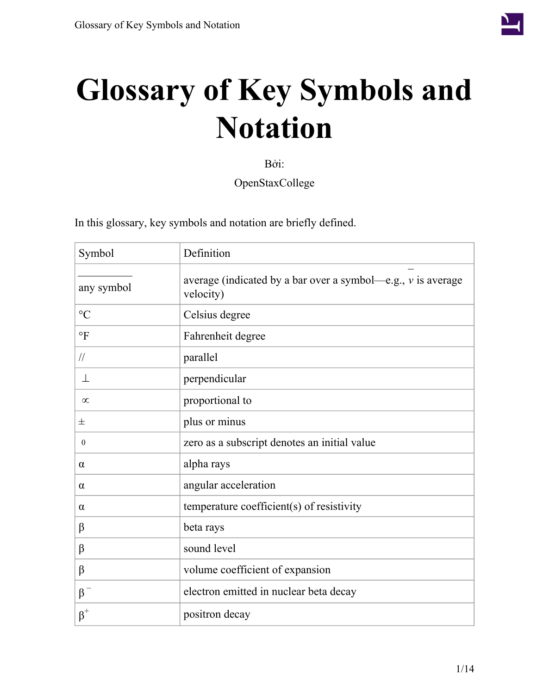

## **Glossary of Key Symbols and Notation**

Bởi:

OpenStaxCollege

| Symbol           | Definition                                                                    |
|------------------|-------------------------------------------------------------------------------|
| any symbol       | average (indicated by a bar over a symbol—e.g., $\nu$ is average<br>velocity) |
| $\rm ^{\circ}C$  | Celsius degree                                                                |
| $\circ$ F        | Fahrenheit degree                                                             |
| $\frac{1}{2}$    | parallel                                                                      |
| 丄                | perpendicular                                                                 |
| $\infty$         | proportional to                                                               |
| 士                | plus or minus                                                                 |
| $\boldsymbol{0}$ | zero as a subscript denotes an initial value                                  |
| $\alpha$         | alpha rays                                                                    |
| $\alpha$         | angular acceleration                                                          |
| α                | temperature coefficient(s) of resistivity                                     |
| β                | beta rays                                                                     |
| $\beta$          | sound level                                                                   |
| β                | volume coefficient of expansion                                               |
| $\beta$          | electron emitted in nuclear beta decay                                        |
| $\beta^+$        | positron decay                                                                |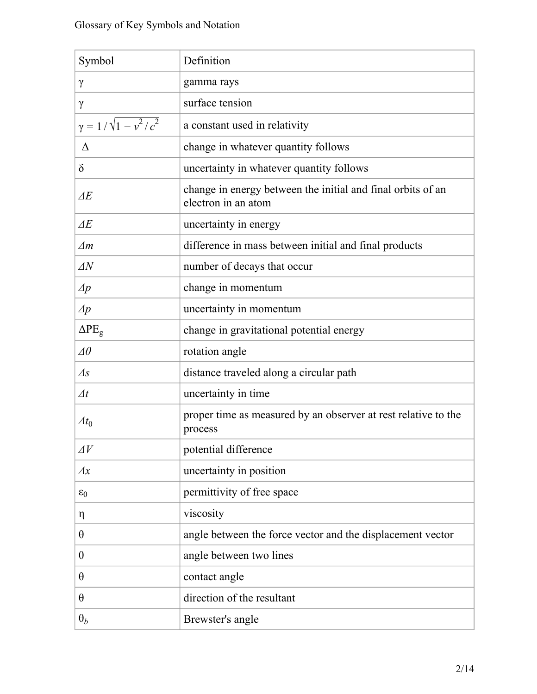| Symbol                          | Definition                                                                         |
|---------------------------------|------------------------------------------------------------------------------------|
| $\gamma$                        | gamma rays                                                                         |
| $\gamma$                        | surface tension                                                                    |
| $\gamma = 1/\sqrt{1 - v^2/c^2}$ | a constant used in relativity                                                      |
| Δ                               | change in whatever quantity follows                                                |
| $\delta$                        | uncertainty in whatever quantity follows                                           |
| $\overline{\Delta E}$           | change in energy between the initial and final orbits of an<br>electron in an atom |
| $\Delta E$                      | uncertainty in energy                                                              |
| $\Delta m$                      | difference in mass between initial and final products                              |
| $\Delta N$                      | number of decays that occur                                                        |
| $\varDelta p$                   | change in momentum                                                                 |
| $\Delta p$                      | uncertainty in momentum                                                            |
| $\Delta PE_g$                   | change in gravitational potential energy                                           |
| $\varDelta\theta$               | rotation angle                                                                     |
| $\varDelta s$                   | distance traveled along a circular path                                            |
| $\varDelta t$                   | uncertainty in time                                                                |
| $\varDelta t_0$                 | proper time as measured by an observer at rest relative to the<br>process          |
| $\Delta V$                      | potential difference                                                               |
| $\varDelta x$                   | uncertainty in position                                                            |
| $\varepsilon_0$                 | permittivity of free space                                                         |
| $\eta$                          | viscosity                                                                          |
| $\theta$                        | angle between the force vector and the displacement vector                         |
| $\theta$                        | angle between two lines                                                            |
| $\theta$                        | contact angle                                                                      |
| $\theta$                        | direction of the resultant                                                         |
| $\theta_b$                      | Brewster's angle                                                                   |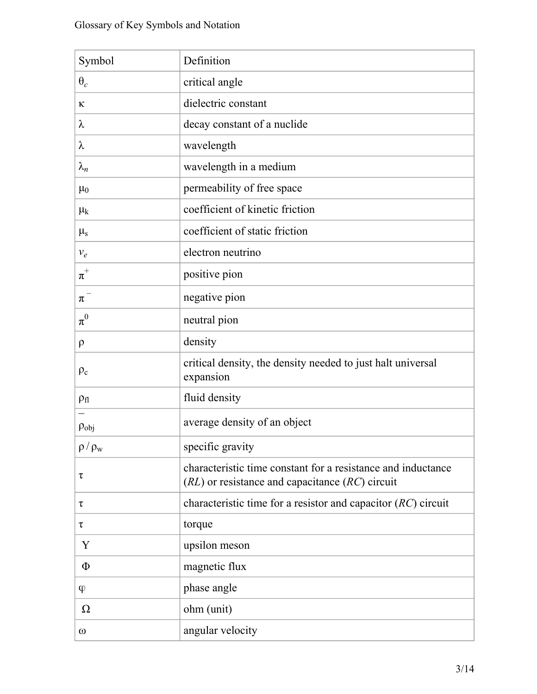| Symbol          | Definition                                                                                                          |
|-----------------|---------------------------------------------------------------------------------------------------------------------|
| $\theta_c$      | critical angle                                                                                                      |
| К               | dielectric constant                                                                                                 |
| λ               | decay constant of a nuclide                                                                                         |
| λ               | wavelength                                                                                                          |
| $\lambda_n$     | wavelength in a medium                                                                                              |
| $\mu_0$         | permeability of free space                                                                                          |
| $\mu_k$         | coefficient of kinetic friction                                                                                     |
| $\mu_{s}$       | coefficient of static friction                                                                                      |
| $v_e$           | electron neutrino                                                                                                   |
| $\pi^+$         | positive pion                                                                                                       |
| $\pi^{-}$       | negative pion                                                                                                       |
| $\pi^0$         | neutral pion                                                                                                        |
| $\rho$          | density                                                                                                             |
| $\rho_c$        | critical density, the density needed to just halt universal<br>expansion                                            |
| $\rho_{fl}$     | fluid density                                                                                                       |
| $\rho_{obj}$    | average density of an object                                                                                        |
| $\rho / \rho_w$ | specific gravity                                                                                                    |
| τ               | characteristic time constant for a resistance and inductance<br>$(RL)$ or resistance and capacitance $(RC)$ circuit |
| τ               | characteristic time for a resistor and capacitor $(RC)$ circuit                                                     |
| τ               | torque                                                                                                              |
| Y               | upsilon meson                                                                                                       |
| $\Phi$          | magnetic flux                                                                                                       |
| $\varphi$       | phase angle                                                                                                         |
| Ω               | ohm (unit)                                                                                                          |
| $\omega$        | angular velocity                                                                                                    |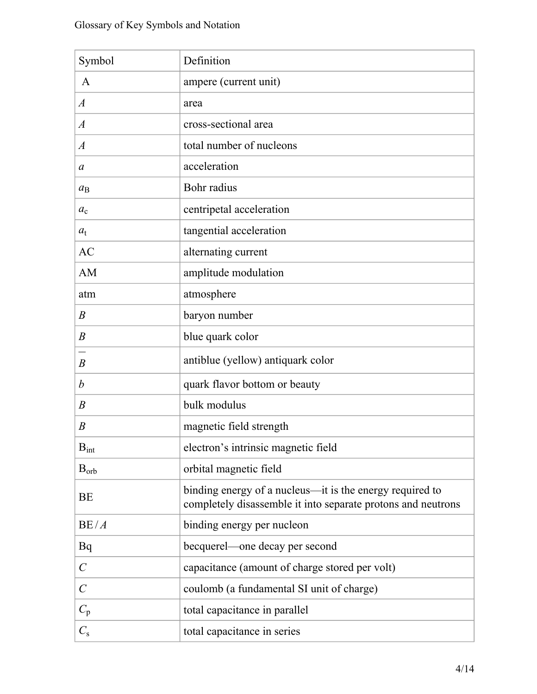| Symbol                | Definition                                                                                                               |
|-----------------------|--------------------------------------------------------------------------------------------------------------------------|
| A                     | ampere (current unit)                                                                                                    |
| $\boldsymbol{A}$      | area                                                                                                                     |
| $\boldsymbol{A}$      | cross-sectional area                                                                                                     |
| $\overline{A}$        | total number of nucleons                                                                                                 |
| $\mathfrak a$         | acceleration                                                                                                             |
| $a_{\rm B}$           | Bohr radius                                                                                                              |
| $a_{c}$               | centripetal acceleration                                                                                                 |
| $a_{t}$               | tangential acceleration                                                                                                  |
| <b>AC</b>             | alternating current                                                                                                      |
| AM                    | amplitude modulation                                                                                                     |
| atm                   | atmosphere                                                                                                               |
| B                     | baryon number                                                                                                            |
| $\boldsymbol{B}$      | blue quark color                                                                                                         |
| $\boldsymbol{B}$      | antiblue (yellow) antiquark color                                                                                        |
| b                     | quark flavor bottom or beauty                                                                                            |
| $\boldsymbol{B}$      | bulk modulus                                                                                                             |
| B                     | magnetic field strength                                                                                                  |
| $B_{int}$             | electron's intrinsic magnetic field                                                                                      |
| $B_{orb}$             | orbital magnetic field                                                                                                   |
| <b>BE</b>             | binding energy of a nucleus—it is the energy required to<br>completely disassemble it into separate protons and neutrons |
| BE/A                  | binding energy per nucleon                                                                                               |
| Bq                    | becquerel—one decay per second                                                                                           |
| $\mathcal{C}_{0}^{0}$ | capacitance (amount of charge stored per volt)                                                                           |
| $\mathcal{C}_{0}^{0}$ | coulomb (a fundamental SI unit of charge)                                                                                |
| $C_{\rm p}$           | total capacitance in parallel                                                                                            |
| $C_{\rm s}$           | total capacitance in series                                                                                              |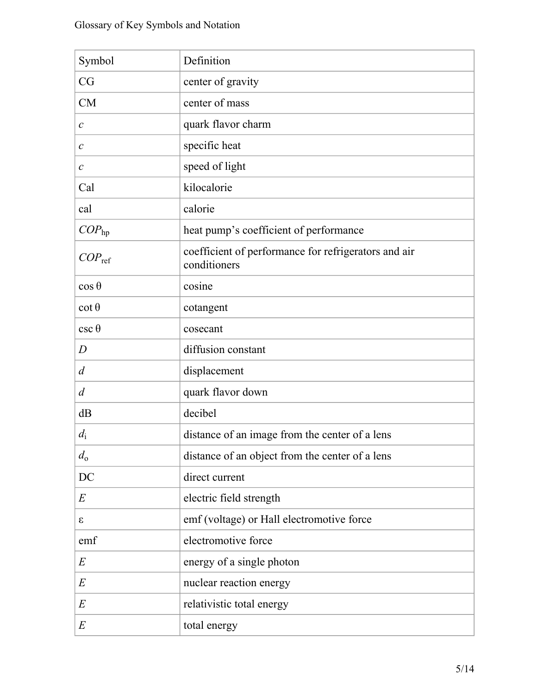| Symbol            | Definition                                                           |
|-------------------|----------------------------------------------------------------------|
| CG                | center of gravity                                                    |
| <b>CM</b>         | center of mass                                                       |
| $\mathcal{C}$     | quark flavor charm                                                   |
| $\mathcal C$      | specific heat                                                        |
| $\mathcal C$      | speed of light                                                       |
| Cal               | kilocalorie                                                          |
| cal               | calorie                                                              |
| COP <sub>hp</sub> | heat pump's coefficient of performance                               |
| $COP_{ref}$       | coefficient of performance for refrigerators and air<br>conditioners |
| $\cos \theta$     | cosine                                                               |
| $\cot \theta$     | cotangent                                                            |
| $csc \theta$      | cosecant                                                             |
| D                 | diffusion constant                                                   |
| $\overline{d}$    | displacement                                                         |
| $\overline{d}$    | quark flavor down                                                    |
| dB                | decibel                                                              |
| $d_i$             | distance of an image from the center of a lens                       |
| $d_0$             | distance of an object from the center of a lens                      |
| DC                | direct current                                                       |
| E                 | electric field strength                                              |
| S                 | emf (voltage) or Hall electromotive force                            |
| emf               | electromotive force                                                  |
| E                 | energy of a single photon                                            |
| E                 | nuclear reaction energy                                              |
| E                 | relativistic total energy                                            |
| E                 | total energy                                                         |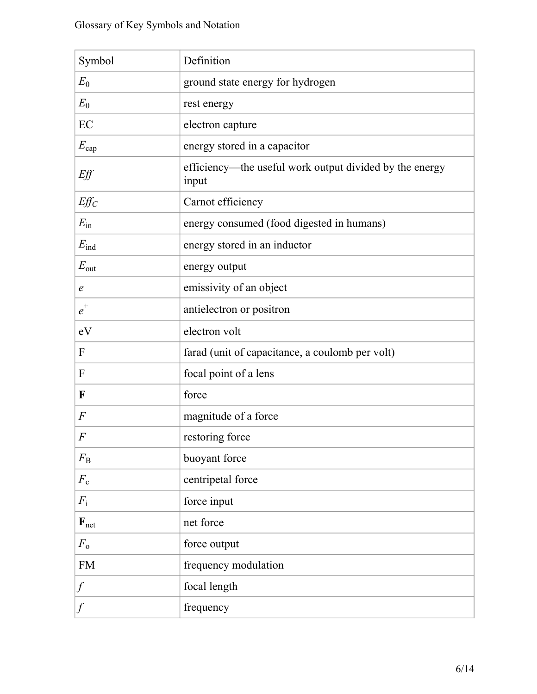| Symbol           | Definition                                                       |
|------------------|------------------------------------------------------------------|
| $E_0$            | ground state energy for hydrogen                                 |
| $E_0$            | rest energy                                                      |
| EC               | electron capture                                                 |
| $E_{\rm cap}$    | energy stored in a capacitor                                     |
| Eff              | efficiency—the useful work output divided by the energy<br>input |
| $Eff_C$          | Carnot efficiency                                                |
| $E_{\rm in}$     | energy consumed (food digested in humans)                        |
| $E_{\rm ind}$    | energy stored in an inductor                                     |
| $E_{\text{out}}$ | energy output                                                    |
| $\epsilon$       | emissivity of an object                                          |
| $e^+$            | antielectron or positron                                         |
| eV               | electron volt                                                    |
| F                | farad (unit of capacitance, a coulomb per volt)                  |
| F                | focal point of a lens                                            |
| F                | force                                                            |
| $\overline{F}$   | magnitude of a force                                             |
| $\overline{F}$   | restoring force                                                  |
| $F_{\rm B}$      | buoyant force                                                    |
| $F_{\rm c}$      | centripetal force                                                |
| $F_{\rm i}$      | force input                                                      |
| $F_{net}$        | net force                                                        |
| $F_{\rm o}$      | force output                                                     |
| ${\rm FM}$       | frequency modulation                                             |
| $\int$           | focal length                                                     |
|                  | frequency                                                        |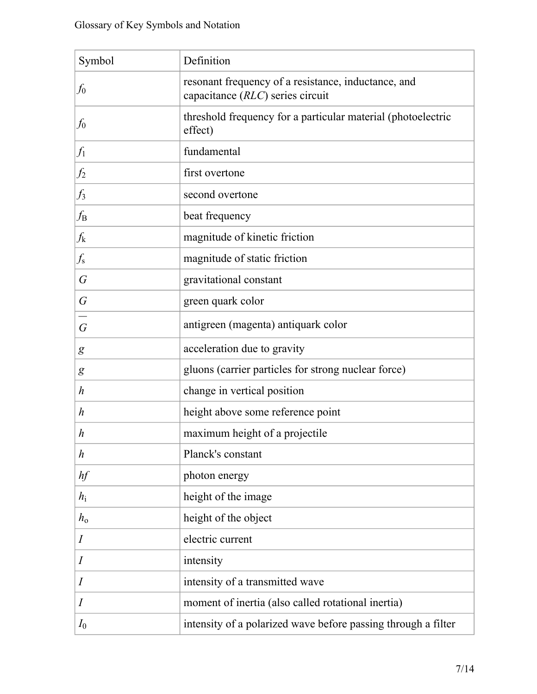| Symbol           | Definition                                                                              |
|------------------|-----------------------------------------------------------------------------------------|
| $f_0$            | resonant frequency of a resistance, inductance, and<br>capacitance (RLC) series circuit |
| $f_0$            | threshold frequency for a particular material (photoelectric<br>effect)                 |
| $f_1$            | fundamental                                                                             |
| $f_2$            | first overtone                                                                          |
| $f_3$            | second overtone                                                                         |
| $f_{\rm B}$      | beat frequency                                                                          |
| $f_{\rm k}$      | magnitude of kinetic friction                                                           |
| $f_{\rm s}$      | magnitude of static friction                                                            |
| G                | gravitational constant                                                                  |
| $\overline{G}$   | green quark color                                                                       |
| $\overline{G}$   | antigreen (magenta) antiquark color                                                     |
| g                | acceleration due to gravity                                                             |
| g                | gluons (carrier particles for strong nuclear force)                                     |
| h                | change in vertical position                                                             |
| h                | height above some reference point                                                       |
| h                | maximum height of a projectile                                                          |
| $\boldsymbol{h}$ | Planck's constant                                                                       |
| hf               | photon energy                                                                           |
| $h_i$            | height of the image                                                                     |
| $h_{\rm o}$      | height of the object                                                                    |
| $\boldsymbol{I}$ | electric current                                                                        |
| $\boldsymbol{I}$ | intensity                                                                               |
| I                | intensity of a transmitted wave                                                         |
| I                | moment of inertia (also called rotational inertia)                                      |
| $I_0$            | intensity of a polarized wave before passing through a filter                           |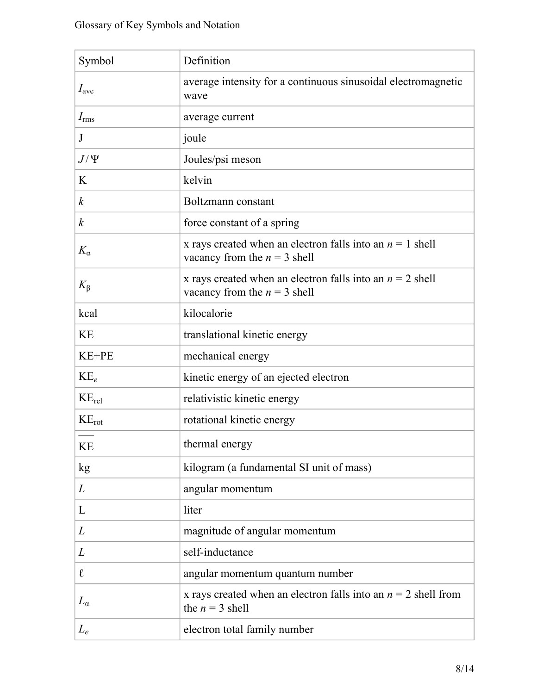| Symbol           | Definition                                                                                    |
|------------------|-----------------------------------------------------------------------------------------------|
| $I_{\text{ave}}$ | average intensity for a continuous sinusoidal electromagnetic<br>wave                         |
| $I_{\rm rms}$    | average current                                                                               |
| J                | joule                                                                                         |
| $J/\Psi$         | Joules/psi meson                                                                              |
| K                | kelvin                                                                                        |
| $\boldsymbol{k}$ | Boltzmann constant                                                                            |
| $\boldsymbol{k}$ | force constant of a spring                                                                    |
| $K_{\alpha}$     | x rays created when an electron falls into an $n = 1$ shell<br>vacancy from the $n = 3$ shell |
| $K_{\beta}$      | x rays created when an electron falls into an $n = 2$ shell<br>vacancy from the $n = 3$ shell |
| kcal             | kilocalorie                                                                                   |
| <b>KE</b>        | translational kinetic energy                                                                  |
| KE+PE            | mechanical energy                                                                             |
| $KE_e$           | kinetic energy of an ejected electron                                                         |
| $KE_{rel}$       | relativistic kinetic energy                                                                   |
| $KE_{rot}$       | rotational kinetic energy                                                                     |
| <b>KE</b>        | thermal energy                                                                                |
| kg               | kilogram (a fundamental SI unit of mass)                                                      |
| L                | angular momentum                                                                              |
| L                | liter                                                                                         |
| L                | magnitude of angular momentum                                                                 |
| L                | self-inductance                                                                               |
| $\ell$           | angular momentum quantum number                                                               |
| $L_{\alpha}$     | x rays created when an electron falls into an $n = 2$ shell from<br>the $n = 3$ shell         |
| $L_e$            | electron total family number                                                                  |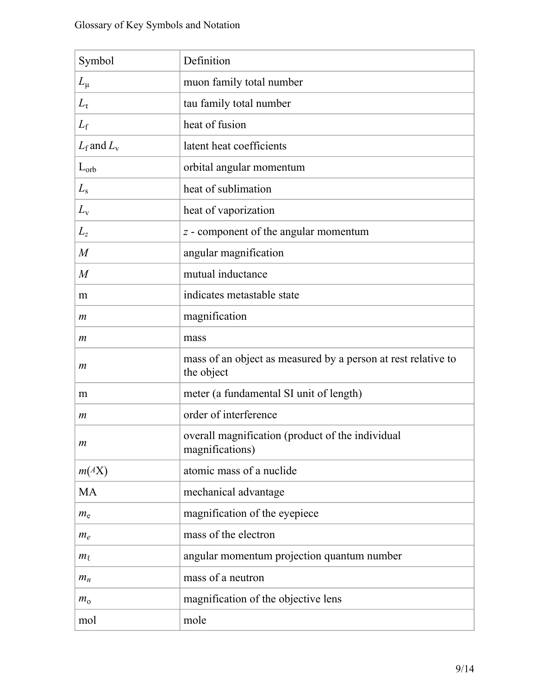| Symbol           | Definition                                                                  |
|------------------|-----------------------------------------------------------------------------|
| $L_{\mu}$        | muon family total number                                                    |
| $L_{\tau}$       | tau family total number                                                     |
| $L_{\rm f}$      | heat of fusion                                                              |
| $L_f$ and $L_v$  | latent heat coefficients                                                    |
| $L_{orb}$        | orbital angular momentum                                                    |
| $L_{\rm s}$      | heat of sublimation                                                         |
| $L_{\rm v}$      | heat of vaporization                                                        |
| $L_{\rm{z}}$     | z - component of the angular momentum                                       |
| $\,M$            | angular magnification                                                       |
| $\boldsymbol{M}$ | mutual inductance                                                           |
| m                | indicates metastable state                                                  |
| m                | magnification                                                               |
| m                | mass                                                                        |
| $\boldsymbol{m}$ | mass of an object as measured by a person at rest relative to<br>the object |
| m                | meter (a fundamental SI unit of length)                                     |
| m                | order of interference                                                       |
| m                | overall magnification (product of the individual<br>magnifications)         |
| m(AX)            | atomic mass of a nuclide                                                    |
| MA               | mechanical advantage                                                        |
| $m_{\rm e}$      | magnification of the eyepiece                                               |
| $m_e$            | mass of the electron                                                        |
| $m_{\ell}$       | angular momentum projection quantum number                                  |
| $m_n$            | mass of a neutron                                                           |
| $m_{\rm o}$      | magnification of the objective lens                                         |
| mol              | mole                                                                        |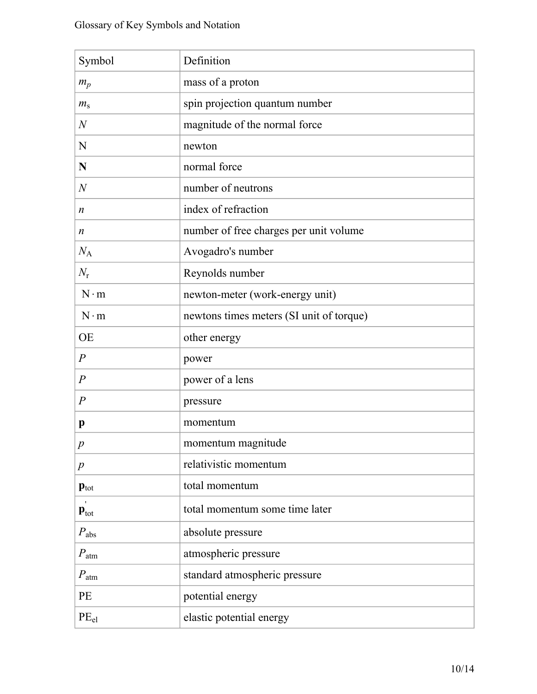| Symbol                    | Definition                               |
|---------------------------|------------------------------------------|
| $m_p$                     | mass of a proton                         |
| $m_{\rm s}$               | spin projection quantum number           |
| $\mathcal N$              | magnitude of the normal force            |
| N                         | newton                                   |
| N                         | normal force                             |
| $\overline{N}$            | number of neutrons                       |
| n                         | index of refraction                      |
| n                         | number of free charges per unit volume   |
| $N_{\rm A}$               | Avogadro's number                        |
| $N_{\rm r}$               | Reynolds number                          |
| $N \cdot m$               | newton-meter (work-energy unit)          |
| $N \cdot m$               | newtons times meters (SI unit of torque) |
| <b>OE</b>                 | other energy                             |
| $\boldsymbol{P}$          | power                                    |
| $\overline{P}$            | power of a lens                          |
| $\boldsymbol{P}$          | pressure                                 |
| p                         | momentum                                 |
| $\,p$                     | momentum magnitude                       |
| $\boldsymbol{p}$          | relativistic momentum                    |
| $\mathbf{p}_{\text{tot}}$ | total momentum                           |
| $\mathbf{p}_{\text{tot}}$ | total momentum some time later           |
| $P_{\rm abs}$             | absolute pressure                        |
| $P_{\rm atm}$             | atmospheric pressure                     |
| $P_{\rm atm}$             | standard atmospheric pressure            |
| PE                        | potential energy                         |
| PE <sub>el</sub>          | elastic potential energy                 |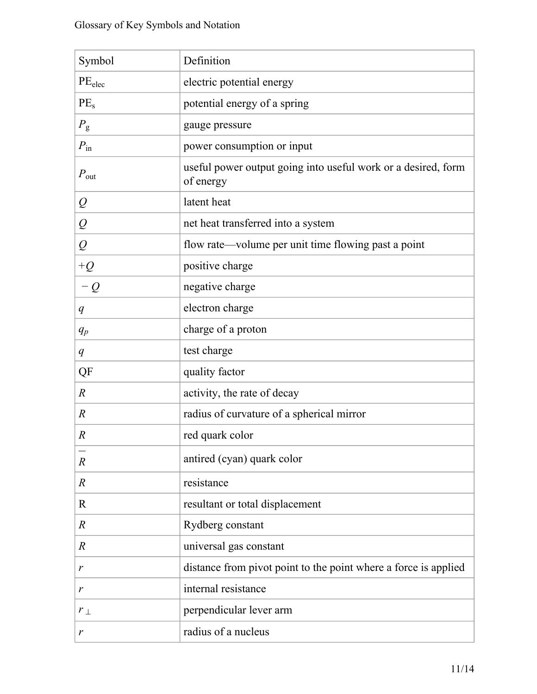| Symbol               | Definition                                                                 |
|----------------------|----------------------------------------------------------------------------|
| PE <sub>elec</sub>   | electric potential energy                                                  |
| PE <sub>s</sub>      | potential energy of a spring                                               |
| $P_{\rm g}$          | gauge pressure                                                             |
| $P_{\text{in}}$      | power consumption or input                                                 |
| $P_{\text{out}}$     | useful power output going into useful work or a desired, form<br>of energy |
| $\varrho$            | latent heat                                                                |
| $\overline{\varrho}$ | net heat transferred into a system                                         |
| $\varrho$            | flow rate—volume per unit time flowing past a point                        |
| $+Q$                 | positive charge                                                            |
| $-Q$                 | negative charge                                                            |
| q                    | electron charge                                                            |
| $q_p$                | charge of a proton                                                         |
| q                    | test charge                                                                |
| QF                   | quality factor                                                             |
| $\boldsymbol{R}$     | activity, the rate of decay                                                |
| $\boldsymbol{R}$     | radius of curvature of a spherical mirror                                  |
| $\boldsymbol{R}$     | red quark color                                                            |
| $\boldsymbol{R}$     | antired (cyan) quark color                                                 |
| $\boldsymbol{R}$     | resistance                                                                 |
| $\mathbf R$          | resultant or total displacement                                            |
| $\boldsymbol{R}$     | Rydberg constant                                                           |
| $\boldsymbol{R}$     | universal gas constant                                                     |
| r                    | distance from pivot point to the point where a force is applied            |
| r                    | internal resistance                                                        |
| $r_{\perp}$          | perpendicular lever arm                                                    |
| r                    | radius of a nucleus                                                        |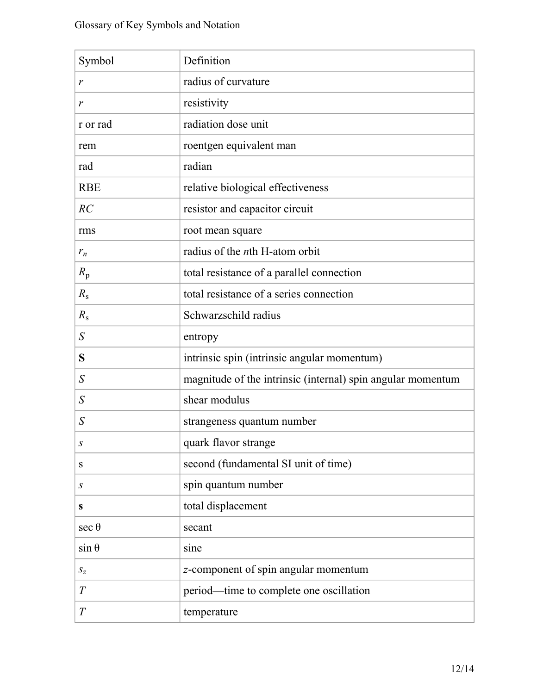| Symbol           | Definition                                                  |
|------------------|-------------------------------------------------------------|
| r                | radius of curvature                                         |
| r                | resistivity                                                 |
| r or rad         | radiation dose unit                                         |
| rem              | roentgen equivalent man                                     |
| rad              | radian                                                      |
| <b>RBE</b>       | relative biological effectiveness                           |
| RC               | resistor and capacitor circuit                              |
| rms              | root mean square                                            |
| $r_n$            | radius of the <i>n</i> th H-atom orbit                      |
| $R_{\rm p}$      | total resistance of a parallel connection                   |
| $R_{\rm s}$      | total resistance of a series connection                     |
| $R_{\rm s}$      | Schwarzschild radius                                        |
| S                | entropy                                                     |
| S                | intrinsic spin (intrinsic angular momentum)                 |
| $\overline{S}$   | magnitude of the intrinsic (internal) spin angular momentum |
| $\overline{S}$   | shear modulus                                               |
| S                | strangeness quantum number                                  |
| S                | quark flavor strange                                        |
| ${\bf S}$        | second (fundamental SI unit of time)                        |
| $\boldsymbol{S}$ | spin quantum number                                         |
| $\mathbf S$      | total displacement                                          |
| $\sec \theta$    | secant                                                      |
| $\sin \theta$    | sine                                                        |
| $S_z$            | z-component of spin angular momentum                        |
| T                | period—time to complete one oscillation                     |
| $\boldsymbol{T}$ | temperature                                                 |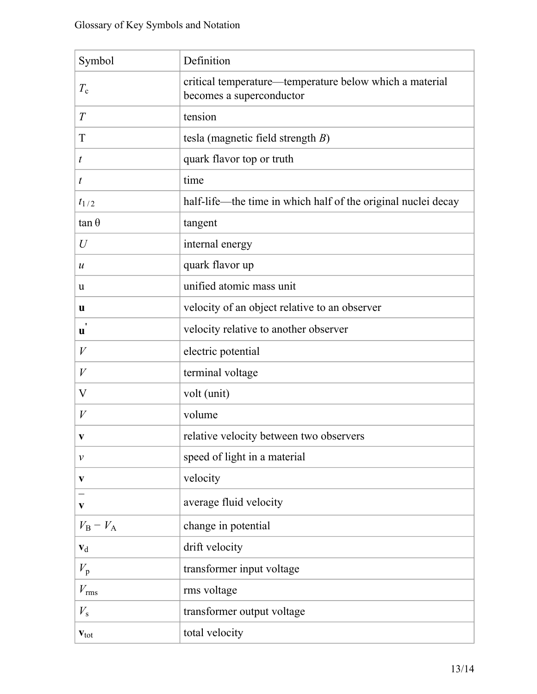| Symbol                    | Definition                                                                          |
|---------------------------|-------------------------------------------------------------------------------------|
| $T_{\rm c}$               | critical temperature—temperature below which a material<br>becomes a superconductor |
| T                         | tension                                                                             |
| T                         | tesla (magnetic field strength $B$ )                                                |
| $\boldsymbol{t}$          | quark flavor top or truth                                                           |
| t                         | time                                                                                |
| $t_{1/2}$                 | half-life—the time in which half of the original nuclei decay                       |
| $\tan \theta$             | tangent                                                                             |
| $\mathcal{U}$             | internal energy                                                                     |
| $\boldsymbol{u}$          | quark flavor up                                                                     |
| u                         | unified atomic mass unit                                                            |
| u                         | velocity of an object relative to an observer                                       |
| $\pmb{\cdot}$<br>u        | velocity relative to another observer                                               |
| $\boldsymbol{V}$          | electric potential                                                                  |
| $\boldsymbol{V}$          | terminal voltage                                                                    |
| V                         | volt (unit)                                                                         |
| V                         | volume                                                                              |
| V                         | relative velocity between two observers                                             |
| $\mathcal V$              | speed of light in a material                                                        |
| V                         | velocity                                                                            |
| $\mathbf{v}$              | average fluid velocity                                                              |
| $V_{\rm B} - V_{\rm A}$   | change in potential                                                                 |
| $\mathbf{v}_d$            | drift velocity                                                                      |
| $V_{\rm p}$               | transformer input voltage                                                           |
| $V_{\rm rms}$             | rms voltage                                                                         |
| $V_{\rm s}$               | transformer output voltage                                                          |
| $\mathbf{v}_{\text{tot}}$ | total velocity                                                                      |